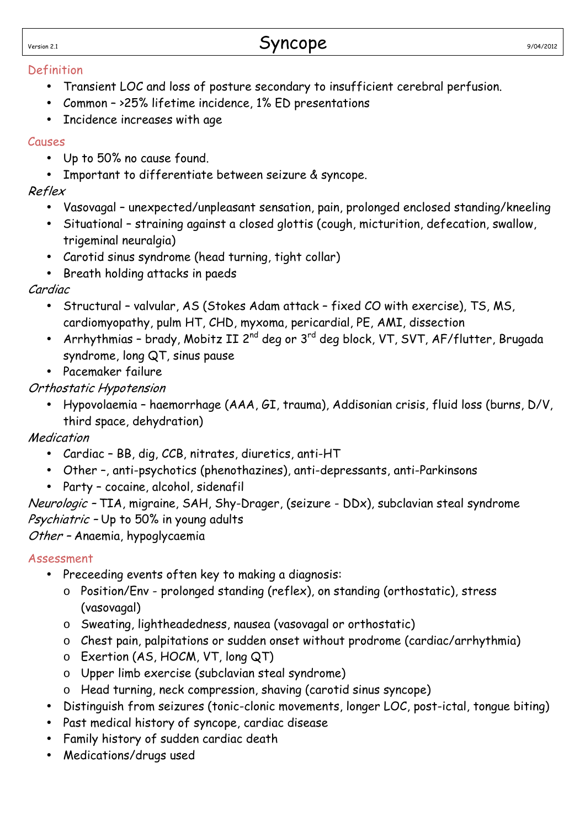$Syncope$ <br>Version 2.1 9/04/2012

#### Definition

- Transient LOC and loss of posture secondary to insufficient cerebral perfusion.
- Common >25% lifetime incidence, 1% ED presentations
- Incidence increases with age

#### Causes

- Up to 50% no cause found.
- Important to differentiate between seizure & syncope.

#### Reflex

- Vasovagal unexpected/unpleasant sensation, pain, prolonged enclosed standing/kneeling
- Situational straining against a closed glottis (cough, micturition, defecation, swallow, trigeminal neuralgia)
- Carotid sinus syndrome (head turning, tight collar)
- Breath holding attacks in paeds

#### Cardiac

- Structural valvular, AS (Stokes Adam attack fixed CO with exercise), TS, MS, cardiomyopathy, pulm HT, CHD, myxoma, pericardial, PE, AMI, dissection
- Arrhythmias brady, Mobitz II  $2^{nd}$  deg or  $3^{rd}$  deg block, VT, SVT, AF/flutter, Brugada syndrome, long QT, sinus pause
- Pacemaker failure

### Orthostatic Hypotension

• Hypovolaemia – haemorrhage (AAA, GI, trauma), Addisonian crisis, fluid loss (burns, D/V, third space, dehydration)

### Medication

- Cardiac BB, dig, CCB, nitrates, diuretics, anti-HT
- Other –, anti-psychotics (phenothazines), anti-depressants, anti-Parkinsons
- Party cocaine, alcohol, sidenafil

Neurologic – TIA, migraine, SAH, Shy-Drager, (seizure - DDx), subclavian steal syndrome Psychiatric - Up to 50% in young adults

Other – Anaemia, hypoglycaemia

### Assessment

- Preceeding events often key to making a diagnosis:
	- o Position/Env prolonged standing (reflex), on standing (orthostatic), stress (vasovagal)
	- o Sweating, lightheadedness, nausea (vasovagal or orthostatic)
	- o Chest pain, palpitations or sudden onset without prodrome (cardiac/arrhythmia)
	- o Exertion (AS, HOCM, VT, long QT)
	- o Upper limb exercise (subclavian steal syndrome)
	- o Head turning, neck compression, shaving (carotid sinus syncope)
- Distinguish from seizures (tonic-clonic movements, longer LOC, post-ictal, tongue biting)
- Past medical history of syncope, cardiac disease
- Family history of sudden cardiac death
- Medications/drugs used